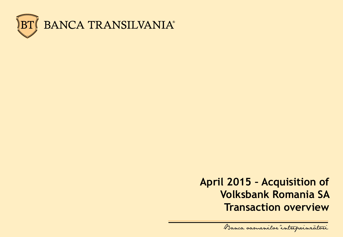

### **April 2015 – Acquisition of Volksbank Romania SA Transaction overview**

Banca samenilor intreprinratori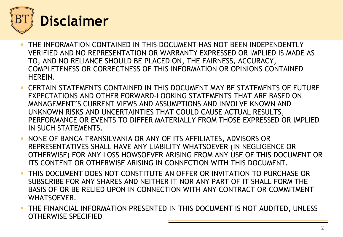

- THE INFORMATION CONTAINED IN THIS DOCUMENT HAS NOT BEEN INDEPENDENTLY VERIFIED AND NO REPRESENTATION OR WARRANTY EXPRESSED OR IMPLIED IS MADE AS TO, AND NO RELIANCE SHOULD BE PLACED ON, THE FAIRNESS, ACCURACY, COMPLETENESS OR CORRECTNESS OF THIS INFORMATION OR OPINIONS CONTAINED HEREIN.
- CERTAIN STATEMENTS CONTAINED IN THIS DOCUMENT MAY BE STATEMENTS OF FUTURE EXPECTATIONS AND OTHER FORWARD-LOOKING STATEMENTS THAT ARE BASED ON MANAGEMENT'S CURRENT VIEWS AND ASSUMPTIONS AND INVOLVE KNOWN AND UNKNOWN RISKS AND UNCERTAINTIES THAT COULD CAUSE ACTUAL RESULTS, PERFORMANCE OR EVENTS TO DIFFER MATERIALLY FROM THOSE EXPRESSED OR IMPLIED IN SUCH STATEMENTS.
- NONE OF BANCA TRANSILVANIA OR ANY OF ITS AFFILIATES, ADVISORS OR REPRESENTATIVES SHALL HAVE ANY LIABILITY WHATSOEVER (IN NEGLIGENCE OR OTHERWISE) FOR ANY LOSS HOWSOEVER ARISING FROM ANY USE OF THIS DOCUMENT OR ITS CONTENT OR OTHERWISE ARISING IN CONNECTION WITH THIS DOCUMENT.
- THIS DOCUMENT DOES NOT CONSTITUTE AN OFFER OR INVITATION TO PURCHASE OR SUBSCRIBE FOR ANY SHARES AND NEITHER IT NOR ANY PART OF IT SHALL FORM THE BASIS OF OR BE RELIED UPON IN CONNECTION WITH ANY CONTRACT OR COMMITMENT WHATSOEVER.
- **THE FINANCIAL INFORMATION PRESENTED IN THIS DOCUMENT IS NOT AUDITED, UNLESS** OTHERWISE SPECIFIED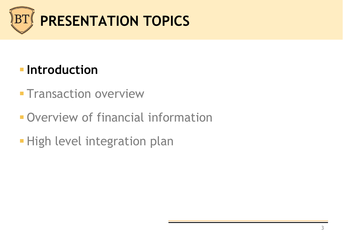

# **Introduction**

- **Transaction overview**
- Overview of financial information
- **High level integration plan**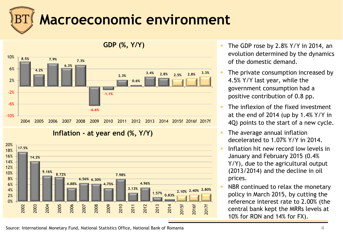# **Macroeconomic environment**



#### **Inflation - at year end (%, Y/Y)**



- The GDP rose by  $2.8\%$  Y/Y in 2014, an evolution determined by the dynamics of the domestic demand.
- The private consumption increased by 4.5% Y/Y last year, while the government consumption had a positive contribution of 0.8 pp.
- The inflexion of the fixed investment at the end of 2014 (up by 1.4% Y/Y in 4Q) points to the start of a new cycle.
- The average annual inflation decelerated to 1.07% Y/Y in 2014.
- Inflation hit new record low levels in January and February 2015 (0.4% Y/Y), due to the agricultural output (2013/2014) and the decline in oil prices.
- NBR continued to relax the monetary policy in March 2015, by cutting the reference interest rate to 2.00% (the central bank kept the MRRs levels at 10% for RON and 14% for FX).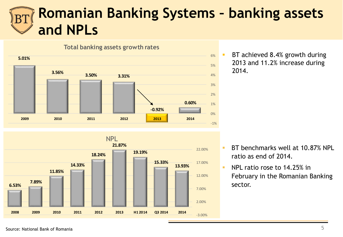# **Romanian Banking Systems – banking assets and NPLs**



 BT achieved 8.4% growth during 2013 and 11.2% increase during 2014.

- **13.93% 15.33% 19.19% 21.87% 18.24% 14.33% 11.85% 7.89% 6.53%** -3.00% 2.00% 7.00% 12.00% 17.00% 22.00% **2008 2009 2010 2011 2012 2013 H1 2014 Q3 2014 2014** NPL
- BT benchmarks well at 10.87% NPL ratio as end of 2014.
- **NPL ratio rose to 14.25% in** February in the Romanian Banking sector.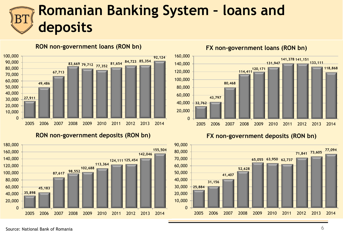# **Romanian Banking System – loans and deposits**



**RON non-government loans (RON bn)**

**RON non-government deposits (RON bn)**





**FX non-government loans (RON bn)**

**FX non-government deposits (RON bn)**

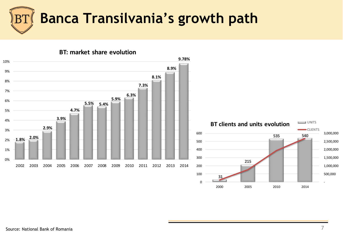

**31 215 535 540** 500,000 1,000,000 1,500,000 2,000,000 2,500,000 3,000,000 100 200 300 400 500 600 **BT clients and units evolution** CLIENTS **1.8% 2.0% 2.9% 3.9% 4.7% 5.5% 5.4% 5.9% 6.3% 7.3% 8.1% 8.9% 9.78%** 0% 1% 2% 3% 4% 5% 6% 7% 8% 9% 10% 2002 2003 2004 2005 2006 2007 2008 2009 2010 2011 2012 2013 2014

 $\Omega$ 

**BT: market share evolution**

-

2000 2005 2010 2014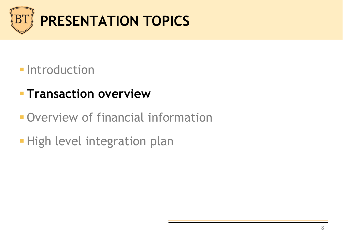

### **Introduction**

# **Transaction overview**

- Overview of financial information
- **High level integration plan**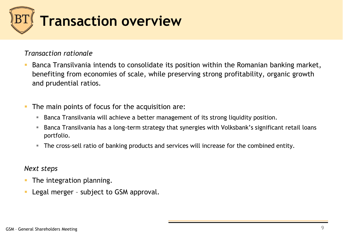

#### *Transaction rationale*

- Banca Transilvania intends to consolidate its position within the Romanian banking market, benefiting from economies of scale, while preserving strong profitability, organic growth and prudential ratios.
- The main points of focus for the acquisition are:
	- Banca Transilvania will achieve a better management of its strong liquidity position.
	- Banca Transilvania has a long-term strategy that synergies with Volksbank's significant retail loans portfolio.
	- The cross-sell ratio of banking products and services will increase for the combined entity.

#### *Next steps*

- **The integration planning.**
- **Legal merger subject to GSM approval.**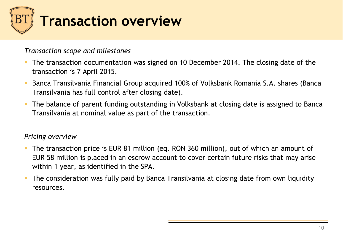

#### *Transaction scope and milestones*

- The transaction documentation was signed on 10 December 2014. The closing date of the transaction is 7 April 2015.
- Banca Transilvania Financial Group acquired 100% of Volksbank Romania S.A. shares (Banca Transilvania has full control after closing date).
- **The balance of parent funding outstanding in Volksbank at closing date is assigned to Banca** Transilvania at nominal value as part of the transaction.

#### *Pricing overview*

- The transaction price is EUR 81 million (eq. RON 360 million), out of which an amount of EUR 58 million is placed in an escrow account to cover certain future risks that may arise within 1 year, as identified in the SPA.
- **The consideration was fully paid by Banca Transilvania at closing date from own liquidity** resources.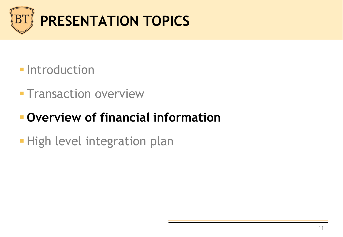

### **Introduction**

**- Transaction overview** 

# **Overview of financial information**

**- High level integration plan**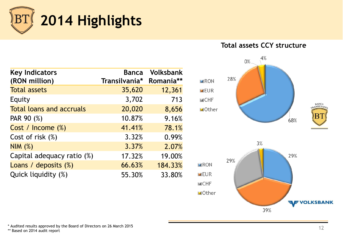

**Key Indicators (RON million) Banca Transilvania\* Volksbank Romania\*\* Total assets** 35,620 12,361 Equity 3,702 713 Total loans and accruals and 20,020 8,656 PAR 90 (%) 10.87% 9.16% Cost / Income (%) 41.41% 78.1% Cost of risk (%) 3.32% 0.99%  $NIM$  (%) 3.37% 2.07% Capital adequacy ratio  $(\%)$  17.32% 19.00% Loans / deposits (%) 66.63% 184.33% Quick liquidity (%) 55.30% 33.80%

#### **Total assets CCY structure**



\* Audited results approved by the Board of Directors on 26 March 2015

\*\* Based on 2014 audit report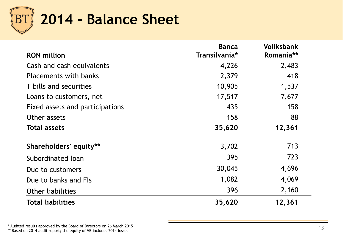

| <b>RON</b> million              | <b>Banca</b><br>Transilvania* | <b>Vollksbank</b><br>Romania** |
|---------------------------------|-------------------------------|--------------------------------|
| Cash and cash equivalents       | 4,226                         | 2,483                          |
| <b>Placements with banks</b>    | 2,379                         | 418                            |
| T bills and securities          | 10,905                        | 1,537                          |
| Loans to customers, net         | 17,517                        | 7,677                          |
| Fixed assets and participations | 435                           | 158                            |
| Other assets                    | 158                           | 88                             |
| <b>Total assets</b>             | 35,620                        | 12,361                         |
| Shareholders' equity**          | 3,702                         | 713                            |
| Subordinated loan               | 395                           | 723                            |
| Due to customers                | 30,045                        | 4,696                          |
| Due to banks and FIs            | 1,082                         | 4,069                          |
| <b>Other liabilities</b>        | 396                           | 2,160                          |
| <b>Total liabilities</b>        | 35,620                        | 12,361                         |

\* Audited results approved by the Board of Directors on 26 March 2015 \* Audited results approved by the Board of Directors on 26 March 2015<br>\*\* Based on 2014 audit report; the equity of VB includes 2014 losses 138 March 2015 13 March 2014 losses 13 March 2014 losses 13 March 2014 losses 13 Ma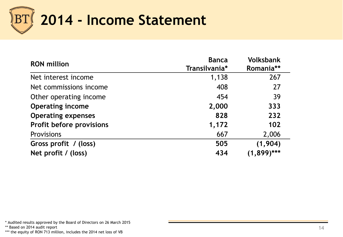

| <b>RON</b> million              | <b>Banca</b>  | <b>Volksbank</b> |
|---------------------------------|---------------|------------------|
|                                 | Transilvania* | Romania**        |
| Net interest income             | 1,138         | 267              |
| Net commissions income          | 408           | 27               |
| Other operating income          | 454           | 39               |
| <b>Operating income</b>         | 2,000         | 333              |
| <b>Operating expenses</b>       | 828           | 232              |
| <b>Profit before provisions</b> | 1,172         | 102              |
| <b>Provisions</b>               | 667           | 2,006            |
| Gross profit / (loss)           | 505           | (1, 904)         |
| Net profit / (loss)             | 434           | $(1,899)$ ***    |

\* Audited results approved by the Board of Directors on 26 March 2015

\*\* Based on 2014 audit report

\*\*\* the equity of RON 713 million, includes the 2014 net loss of VB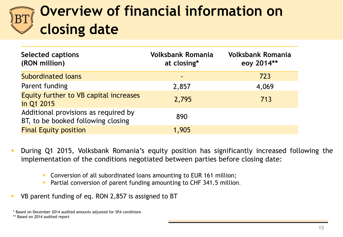# **Overview of financial information on closing date**

| <b>Selected captions</b><br>(RON million)                                  | <b>Volksbank Romania</b><br>at closing* | <b>Volksbank Romania</b><br>eoy 2014** |
|----------------------------------------------------------------------------|-----------------------------------------|----------------------------------------|
| <b>Subordinated loans</b>                                                  | $\blacksquare$                          | 723                                    |
| Parent funding                                                             | 2,857                                   | 4,069                                  |
| Equity further to VB capital increases<br>in Q1 2015                       | 2,795                                   | 713                                    |
| Additional provisions as required by<br>BT, to be booked following closing | 890                                     |                                        |
| <b>Final Equity position</b>                                               | 1,905                                   |                                        |

- During Q1 2015, Volksbank Romania's equity position has significantly increased following the implementation of the conditions negotiated between parties before closing date:
	- Conversion of all subordinated loans amounting to EUR 161 million;
	- **Partial conversion of parent funding amounting to CHF 341.5 million.**
- VB parent funding of eq. RON 2,857 is assigned to BT

\* Based on December 2014 audited amounts adjusted for SPA conditions

<sup>\*\*</sup> Based on 2014 audited report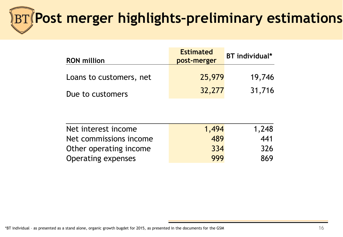# **Post merger highlights–preliminary estimations**

| <b>RON</b> million      | <b>Estimated</b><br>post-merger | <b>BT</b> individual* |
|-------------------------|---------------------------------|-----------------------|
| Loans to customers, net | 25,979                          | 19,746                |
| Due to customers        | 32,277                          | 31,716                |

| Net interest income    | 1,494 | 1,248 |
|------------------------|-------|-------|
| Net commissions income | 489   | 441   |
| Other operating income | 334   | 326   |
| Operating expenses     | 999   | 869   |

\*BT individual – as presented as a stand alone, organic growth bugdet for 2015, as presented in the documents for the GSM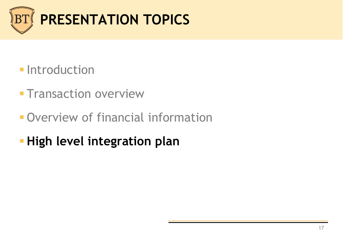

### **- Introduction**

- **Transaction overview**
- **Overview of financial information**
- **High level integration plan**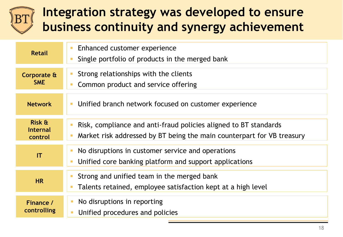# **Integration strategy was developed to ensure business continuity and synergy achievement**

| <b>Retail</b>                                   | Enhanced customer experience<br>п<br>Single portfolio of products in the merged bank<br>П                                                                              |
|-------------------------------------------------|------------------------------------------------------------------------------------------------------------------------------------------------------------------------|
| Corporate &<br><b>SME</b>                       | Strong relationships with the clients<br>$\mathcal{L}_{\mathcal{A}}$<br>Common product and service offering<br>$\mathbb{R}^n$                                          |
| <b>Network</b>                                  | Unified branch network focused on customer experience<br>I.                                                                                                            |
| <b>Risk &amp;</b><br><b>Internal</b><br>control | Risk, compliance and anti-fraud policies aligned to BT standards<br>Market risk addressed by BT being the main counterpart for VB treasury<br>$\overline{\phantom{a}}$ |
| IT                                              | No disruptions in customer service and operations<br>$\mathcal{C}$<br>Unified core banking platform and support applications<br>$\overline{\phantom{a}}$               |
| <b>HR</b>                                       | Strong and unified team in the merged bank<br>$\mathcal{L}_{\mathcal{A}}$<br>Talents retained, employee satisfaction kept at a high level<br>П                         |
| Finance /<br>controlling                        | No disruptions in reporting<br>п<br>Unified procedures and policies                                                                                                    |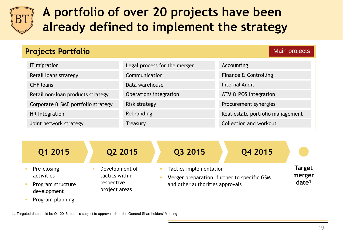

# **A portfolio of over 20 projects have been already defined to implement the strategy**

| <b>Projects Portfolio</b>          |                              | <b>Main projects</b>             |
|------------------------------------|------------------------------|----------------------------------|
| IT migration                       | Legal process for the merger | Accounting                       |
| Retail loans strategy              | Communication                | Finance & Controlling            |
| <b>CHF</b> loans                   | Data warehouse               | <b>Internal Audit</b>            |
| Retail non-loan products strategy  | Operations integration       | ATM & POS Integration            |
| Corporate & SME portfolio strategy | <b>Risk strategy</b>         | Procurement synergies            |
| HR Integration                     | Rebranding                   | Real-estate portfolio management |
| Joint network strategy             | Treasury                     | Collection and workout           |

| Q1 2015                                                       | Q2 2015                                                         | Q4 2015<br>Q3 2015                                                                                       |                                              |
|---------------------------------------------------------------|-----------------------------------------------------------------|----------------------------------------------------------------------------------------------------------|----------------------------------------------|
| Pre-closing<br>activities<br>Program structure<br>development | Development of<br>tactics within<br>respective<br>project areas | Tactics implementation<br>Merger preparation, further to specific GSM<br>and other authorities approvals | <b>Target</b><br>merger<br>date <sup>1</sup> |
| Program planning                                              |                                                                 |                                                                                                          |                                              |

1. Targeted date could be Q1 2016, but it is subject to approvals from the General Shareholders' Meeting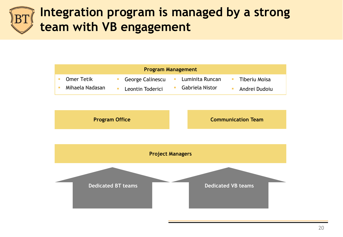## **Integration program is managed by a strong team with VB engagement**

| <b>Program Management</b> |                   |                         |                 |               |
|---------------------------|-------------------|-------------------------|-----------------|---------------|
|                           | <b>Omer Tetik</b> | <b>George Calinescu</b> | Luminita Runcan | Tiberiu Moisa |
|                           | Mihaela Nadasan   | Leontin Toderici        | Gabriela Nistor | Andrei Dudoiu |



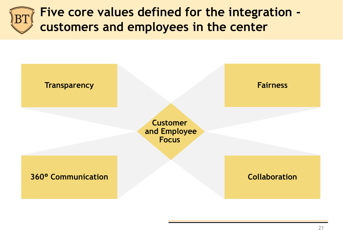